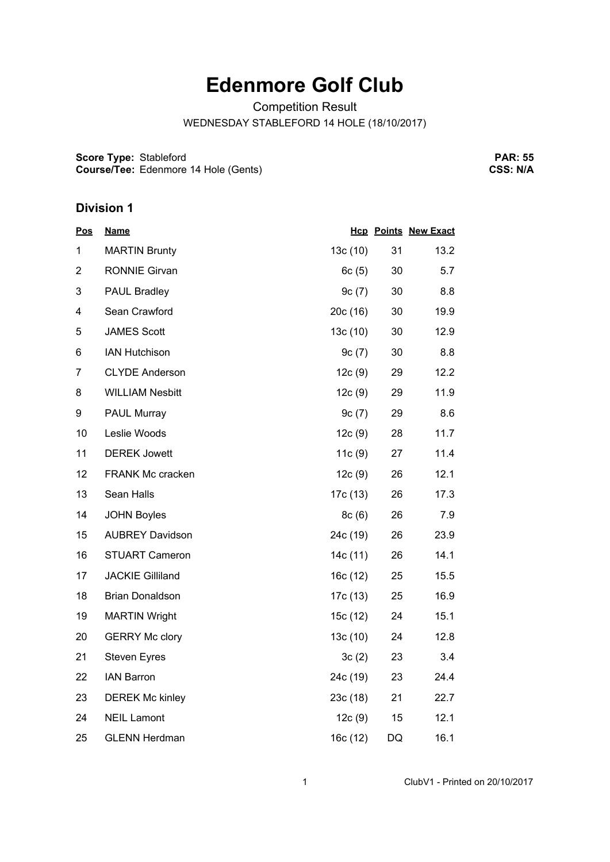## **Edenmore Golf Club**

Competition Result

WEDNESDAY STABLEFORD 14 HOLE (18/10/2017)

**Score Type:** Stableford **Course/Tee:** Edenmore 14 Hole (Gents)

**PAR: 55 CSS: N/A**

## **Division 1**

| <u>Pos</u>     | <b>Name</b>             |          |    | <b>Hcp Points New Exact</b> |
|----------------|-------------------------|----------|----|-----------------------------|
| 1              | <b>MARTIN Brunty</b>    | 13c (10) | 31 | 13.2                        |
| $\overline{2}$ | <b>RONNIE Girvan</b>    | 6c(5)    | 30 | 5.7                         |
| 3              | <b>PAUL Bradley</b>     | 9c(7)    | 30 | 8.8                         |
| 4              | Sean Crawford           | 20c (16) | 30 | 19.9                        |
| 5              | <b>JAMES Scott</b>      | 13c(10)  | 30 | 12.9                        |
| 6              | <b>IAN Hutchison</b>    | 9c(7)    | 30 | 8.8                         |
| 7              | <b>CLYDE Anderson</b>   | 12c(9)   | 29 | 12.2                        |
| 8              | <b>WILLIAM Nesbitt</b>  | 12c(9)   | 29 | 11.9                        |
| 9              | PAUL Murray             | 9c(7)    | 29 | 8.6                         |
| 10             | Leslie Woods            | 12c(9)   | 28 | 11.7                        |
| 11             | <b>DEREK Jowett</b>     | 11c(9)   | 27 | 11.4                        |
| 12             | FRANK Mc cracken        | 12c(9)   | 26 | 12.1                        |
| 13             | Sean Halls              | 17c (13) | 26 | 17.3                        |
| 14             | <b>JOHN Boyles</b>      | 8c(6)    | 26 | 7.9                         |
| 15             | <b>AUBREY Davidson</b>  | 24c (19) | 26 | 23.9                        |
| 16             | <b>STUART Cameron</b>   | 14c (11) | 26 | 14.1                        |
| 17             | <b>JACKIE Gilliland</b> | 16c (12) | 25 | 15.5                        |
| 18             | <b>Brian Donaldson</b>  | 17c (13) | 25 | 16.9                        |
| 19             | <b>MARTIN Wright</b>    | 15c (12) | 24 | 15.1                        |
| 20             | <b>GERRY Mc clory</b>   | 13c(10)  | 24 | 12.8                        |
| 21             | <b>Steven Eyres</b>     | 3c(2)    | 23 | 3.4                         |
| 22             | <b>IAN Barron</b>       | 24c (19) | 23 | 24.4                        |
| 23             | <b>DEREK Mc kinley</b>  | 23c(18)  | 21 | 22.7                        |
| 24             | <b>NEIL Lamont</b>      | 12c(9)   | 15 | 12.1                        |
| 25             | <b>GLENN Herdman</b>    | 16c (12) | DQ | 16.1                        |